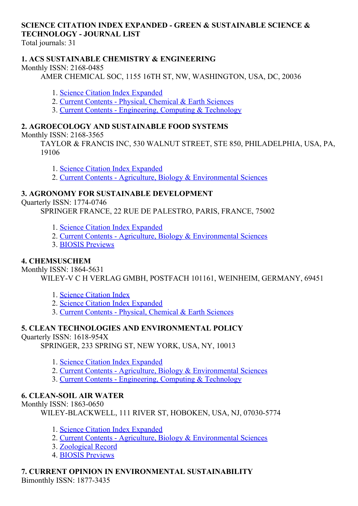# SCIENCE CITATION INDEX EXPANDED GREEN & SUSTAINABLE SCIENCE & TECHNOLOGY JOURNAL LIST

Total journals: 31

### 1. ACS SUSTAINABLE CHEMISTRY & ENGINEERING

Monthly ISSN: 2168-0485

AMER CHEMICAL SOC, 1155 16TH ST, NW, WASHINGTON, USA, DC, 20036

- 1. Science Citation Index [Expanded](http://thomsonreuters.com/science-citation-index-expanded)
- 2. Current Contents Physical, [Chemical](http://thomsonreuters.com/current-contents-connect) & Earth Sciences
- 3. Current Contents [Engineering,](http://thomsonreuters.com/current-contents-connect) Computing & Technology

### 2. AGROECOLOGY AND SUSTAINABLE FOOD SYSTEMS

Monthly ISSN: 2168-3565

TAYLOR & FRANCIS INC, 530 WALNUT STREET, STE 850, PHILADELPHIA, USA, PA, 19106

1. Science Citation Index [Expanded](http://thomsonreuters.com/science-citation-index-expanded)

2. Current Contents - Agriculture, Biology & [Environmental](http://thomsonreuters.com/current-contents-connect/) Sciences

## 3. AGRONOMY FOR SUSTAINABLE DEVELOPMENT

Quarterly ISSN: 1774-0746

SPRINGER FRANCE, 22 RUE DE PALESTRO, PARIS, FRANCE, 75002

- 1. Science Citation Index [Expanded](http://thomsonreuters.com/science-citation-index-expanded)
- 2. Current Contents Agriculture, Biology & [Environmental](http://thomsonreuters.com/current-contents-connect/) Sciences
- 3. BIOSIS [Previews](http://thomsonreuters.com/biosis-previews)

### 4. CHEMSUSCHEM

Monthly ISSN: 1864-5631

WILEY-V C H VERLAG GMBH, POSTFACH 101161, WEINHEIM, GERMANY, 69451

- 1. Science [Citation](http://thomsonreuters.com/science-citation-index-expanded) Index
- 2. Science Citation Index [Expanded](http://thomsonreuters.com/science-citation-index-expanded)
- 3. Current Contents Physical, [Chemical](http://thomsonreuters.com/current-contents-connect) & Earth Sciences

### 5. CLEAN TECHNOLOGIES AND ENVIRONMENTAL POLICY

### Ouarterly ISSN: 1618-954X

SPRINGER, 233 SPRING ST, NEW YORK, USA, NY, 10013

- 1. Science Citation Index [Expanded](http://thomsonreuters.com/science-citation-index-expanded)
- 2. Current Contents Agriculture, Biology & [Environmental](http://thomsonreuters.com/current-contents-connect/) Sciences
- 3. Current Contents [Engineering,](http://thomsonreuters.com/current-contents-connect) Computing & Technology

### **6. CLEAN-SOIL AIR WATER**

Monthly ISSN: 1863-0650

WILEY-BLACKWELL, 111 RIVER ST, HOBOKEN, USA, NJ, 07030-5774

- 1. Science Citation Index [Expanded](http://thomsonreuters.com/science-citation-index-expanded)
- 2. Current Contents Agriculture, Biology & [Environmental](http://thomsonreuters.com/current-contents-connect/) Sciences
- 3. [Zoological](http://thomsonreuters.com/zoological-record) Record
- 4. BIOSIS [Previews](http://thomsonreuters.com/biosis-previews)

### 7. CURRENT OPINION IN ENVIRONMENTAL SUSTAINABILITY

Bimonthly ISSN: 1877-3435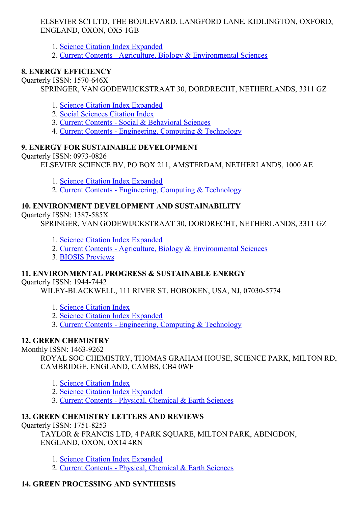#### ELSEVIER SCI LTD, THE BOULEVARD, LANGFORD LANE, KIDLINGTON, OXFORD, ENGLAND, OXON, OX5 1GB

- 1. Science Citation Index [Expanded](http://thomsonreuters.com/science-citation-index-expanded)
- 2. Current Contents Agriculture, Biology & [Environmental](http://thomsonreuters.com/current-contents-connect/) Sciences

### 8. ENERGY EFFICIENCY

Quarterly ISSN: 1570-646X

SPRINGER, VAN GODEWIJCKSTRAAT 30, DORDRECHT, NETHERLANDS, 3311 GZ

- 1. Science Citation Index [Expanded](http://thomsonreuters.com/science-citation-index-expanded)
- 2. Social [Sciences](http://thomsonreuters.com/social-sciences-citation-index) Citation Index
- 3. Current Contents Social & [Behavioral](http://thomsonreuters.com/current-contents-connect/) Sciences
- 4. Current Contents [Engineering,](http://thomsonreuters.com/current-contents-connect) Computing & Technology

### 9. ENERGY FOR SUSTAINABLE DEVELOPMENT

Quarterly ISSN: 0973-0826

ELSEVIER SCIENCE BV, PO BOX 211, AMSTERDAM, NETHERLANDS, 1000 AE

- 1. Science Citation Index [Expanded](http://thomsonreuters.com/science-citation-index-expanded)
- 2. Current Contents [Engineering,](http://thomsonreuters.com/current-contents-connect) Computing & Technology

### 10. ENVIRONMENT DEVELOPMENT AND SUSTAINABILITY

Quarterly ISSN: 1387-585X

SPRINGER, VAN GODEWIJCKSTRAAT 30, DORDRECHT, NETHERLANDS, 3311 GZ

- 1. Science Citation Index [Expanded](http://thomsonreuters.com/science-citation-index-expanded)
- 2. Current Contents Agriculture, Biology & [Environmental](http://thomsonreuters.com/current-contents-connect/) Sciences
- 3. BIOSIS [Previews](http://thomsonreuters.com/biosis-previews)

### 11. ENVIRONMENTAL PROGRESS & SUSTAINABLE ENERGY

Quarterly ISSN: 19447442

WILEY-BLACKWELL, 111 RIVER ST, HOBOKEN, USA, NJ, 07030-5774

- 1. Science [Citation](http://thomsonreuters.com/science-citation-index-expanded) Index
- 2. Science Citation Index [Expanded](http://thomsonreuters.com/science-citation-index-expanded)
- 3. Current Contents [Engineering,](http://thomsonreuters.com/current-contents-connect) Computing & Technology

### 12. GREEN CHEMISTRY

Monthly ISSN: 1463-9262

ROYAL SOC CHEMISTRY, THOMAS GRAHAM HOUSE, SCIENCE PARK, MILTON RD, CAMBRIDGE, ENGLAND, CAMBS, CB4 0WF

- 1. Science [Citation](http://thomsonreuters.com/science-citation-index-expanded) Index
- 2. Science Citation Index [Expanded](http://thomsonreuters.com/science-citation-index-expanded)
- 3. Current Contents Physical, [Chemical](http://thomsonreuters.com/current-contents-connect) & Earth Sciences

### 13. GREEN CHEMISTRY LETTERS AND REVIEWS

Ouarterly ISSN: 1751-8253

TAYLOR & FRANCIS LTD, 4 PARK SQUARE, MILTON PARK, ABINGDON, ENGLAND, OXON, OX14 4RN

1. Science Citation Index [Expanded](http://thomsonreuters.com/science-citation-index-expanded)

2. Current Contents - Physical, [Chemical](http://thomsonreuters.com/current-contents-connect) & Earth Sciences

# 14. GREEN PROCESSING AND SYNTHESIS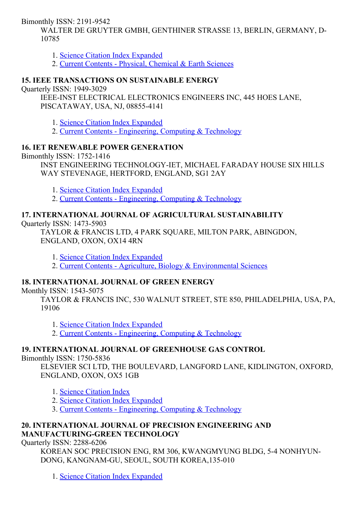Bimonthly ISSN: 2191-9542

WALTER DE GRUYTER GMBH, GENTHINER STRASSE 13, BERLIN, GERMANY, D-10785

1. Science Citation Index [Expanded](http://thomsonreuters.com/science-citation-index-expanded)

2. Current Contents - Physical, [Chemical](http://thomsonreuters.com/current-contents-connect) & Earth Sciences

### 15. IEEE TRANSACTIONS ON SUSTAINABLE ENERGY

Quarterly ISSN: 1949-3029

IEEE-INST ELECTRICAL ELECTRONICS ENGINEERS INC, 445 HOES LANE, PISCATAWAY, USA, NJ, 088554141

1. Science Citation Index [Expanded](http://thomsonreuters.com/science-citation-index-expanded)

2. Current Contents - [Engineering,](http://thomsonreuters.com/current-contents-connect) Computing & Technology

### 16. IET RENEWABLE POWER GENERATION

Bimonthly ISSN: 17521416

INST ENGINEERING TECHNOLOGY-IET, MICHAEL FARADAY HOUSE SIX HILLS WAY STEVENAGE, HERTFORD, ENGLAND, SG1 2AY

1. Science Citation Index [Expanded](http://thomsonreuters.com/science-citation-index-expanded)

2. Current Contents - [Engineering,](http://thomsonreuters.com/current-contents-connect) Computing & Technology

### 17. INTERNATIONAL JOURNAL OF AGRICULTURAL SUSTAINABILITY

Ouarterly ISSN: 1473-5903

TAYLOR & FRANCIS LTD, 4 PARK SQUARE, MILTON PARK, ABINGDON, ENGLAND, OXON, OX14 4RN

1. Science Citation Index [Expanded](http://thomsonreuters.com/science-citation-index-expanded)

2. Current Contents Agriculture, Biology & [Environmental](http://thomsonreuters.com/current-contents-connect/) Sciences

# 18. INTERNATIONAL JOURNAL OF GREEN ENERGY

Monthly ISSN: 1543-5075

TAYLOR & FRANCIS INC, 530 WALNUT STREET, STE 850, PHILADELPHIA, USA, PA, 19106

1. Science Citation Index [Expanded](http://thomsonreuters.com/science-citation-index-expanded)

2. Current Contents - [Engineering,](http://thomsonreuters.com/current-contents-connect) Computing & Technology

# 19. INTERNATIONAL JOURNAL OF GREENHOUSE GAS CONTROL

Bimonthly ISSN: 1750-5836

ELSEVIER SCI LTD, THE BOULEVARD, LANGFORD LANE, KIDLINGTON, OXFORD, ENGLAND, OXON, OX5 1GB

- 1. Science [Citation](http://thomsonreuters.com/science-citation-index-expanded) Index
- 2. Science Citation Index [Expanded](http://thomsonreuters.com/science-citation-index-expanded)

3. Current Contents [Engineering,](http://thomsonreuters.com/current-contents-connect) Computing & Technology

## 20. INTERNATIONAL JOURNAL OF PRECISION ENGINEERING AND MANUFACTURING-GREEN TECHNOLOGY

Quarterly ISSN: 2288-6206

KOREAN SOC PRECISION ENG, RM 306, KWANGMYUNG BLDG, 54 NONHYUN-DONG, KANGNAM-GU, SEOUL, SOUTH KOREA, 135-010

1. Science Citation Index [Expanded](http://thomsonreuters.com/science-citation-index-expanded)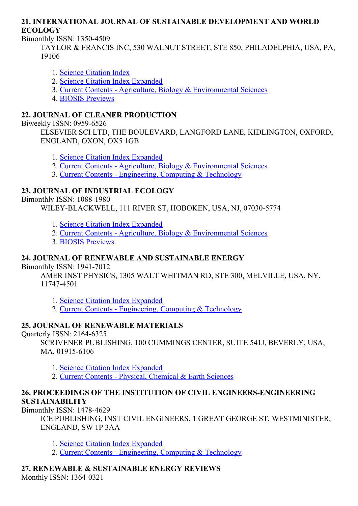#### 21. INTERNATIONAL JOURNAL OF SUSTAINABLE DEVELOPMENT AND WORLD ECOLOGY

Bimonthly ISSN: 13504509

TAYLOR & FRANCIS INC, 530 WALNUT STREET, STE 850, PHILADELPHIA, USA, PA, 19106

- 1. Science [Citation](http://thomsonreuters.com/science-citation-index-expanded) Index
- 2. Science Citation Index [Expanded](http://thomsonreuters.com/science-citation-index-expanded)
- 3. Current Contents Agriculture, Biology & [Environmental](http://thomsonreuters.com/current-contents-connect/) Sciences
- 4. BIOSIS [Previews](http://thomsonreuters.com/biosis-previews)

#### 22. JOURNAL OF CLEANER PRODUCTION

Biweekly ISSN: 0959-6526

ELSEVIER SCI LTD, THE BOULEVARD, LANGFORD LANE, KIDLINGTON, OXFORD, ENGLAND, OXON, OX5 1GB

1. Science Citation Index [Expanded](http://thomsonreuters.com/science-citation-index-expanded)

- 2. Current Contents Agriculture, Biology & [Environmental](http://thomsonreuters.com/current-contents-connect/) Sciences
- 3. Current Contents [Engineering,](http://thomsonreuters.com/current-contents-connect) Computing & Technology

## 23. JOURNAL OF INDUSTRIAL ECOLOGY

Bimonthly ISSN: 1088-1980

WILEY-BLACKWELL, 111 RIVER ST, HOBOKEN, USA, NJ, 07030-5774

- 1. Science Citation Index [Expanded](http://thomsonreuters.com/science-citation-index-expanded)
- 2. Current Contents Agriculture, Biology & [Environmental](http://thomsonreuters.com/current-contents-connect/) Sciences
- 3. BIOSIS [Previews](http://thomsonreuters.com/biosis-previews)

### 24. JOURNAL OF RENEWABLE AND SUSTAINABLE ENERGY

Bimonthly ISSN: 1941-7012

AMER INST PHYSICS, 1305 WALT WHITMAN RD, STE 300, MELVILLE, USA, NY, 11747-4501

1. Science Citation Index [Expanded](http://thomsonreuters.com/science-citation-index-expanded)

2. Current Contents - [Engineering,](http://thomsonreuters.com/current-contents-connect) Computing & Technology

### 25. JOURNAL OF RENEWABLE MATERIALS

Quarterly ISSN:  $2164-6325$ 

SCRIVENER PUBLISHING, 100 CUMMINGS CENTER, SUITE 541J, BEVERLY, USA, MA, 01915-6106

1. Science Citation Index [Expanded](http://thomsonreuters.com/science-citation-index-expanded)

2. Current Contents - Physical, [Chemical](http://thomsonreuters.com/current-contents-connect) & Earth Sciences

#### 26. PROCEEDINGS OF THE INSTITUTION OF CIVIL ENGINEERSENGINEERING SUSTAINABILITY

Bimonthly  $ISSN: 1478-4629$ 

ICE PUBLISHING, INST CIVIL ENGINEERS, 1 GREAT GEORGE ST, WESTMINISTER, ENGLAND, SW 1P 3AA

- 1. Science Citation Index [Expanded](http://thomsonreuters.com/science-citation-index-expanded)
- 2. Current Contents [Engineering,](http://thomsonreuters.com/current-contents-connect) Computing & Technology

#### 27. RENEWABLE & SUSTAINABLE ENERGY REVIEWS Monthly ISSN: 1364-0321